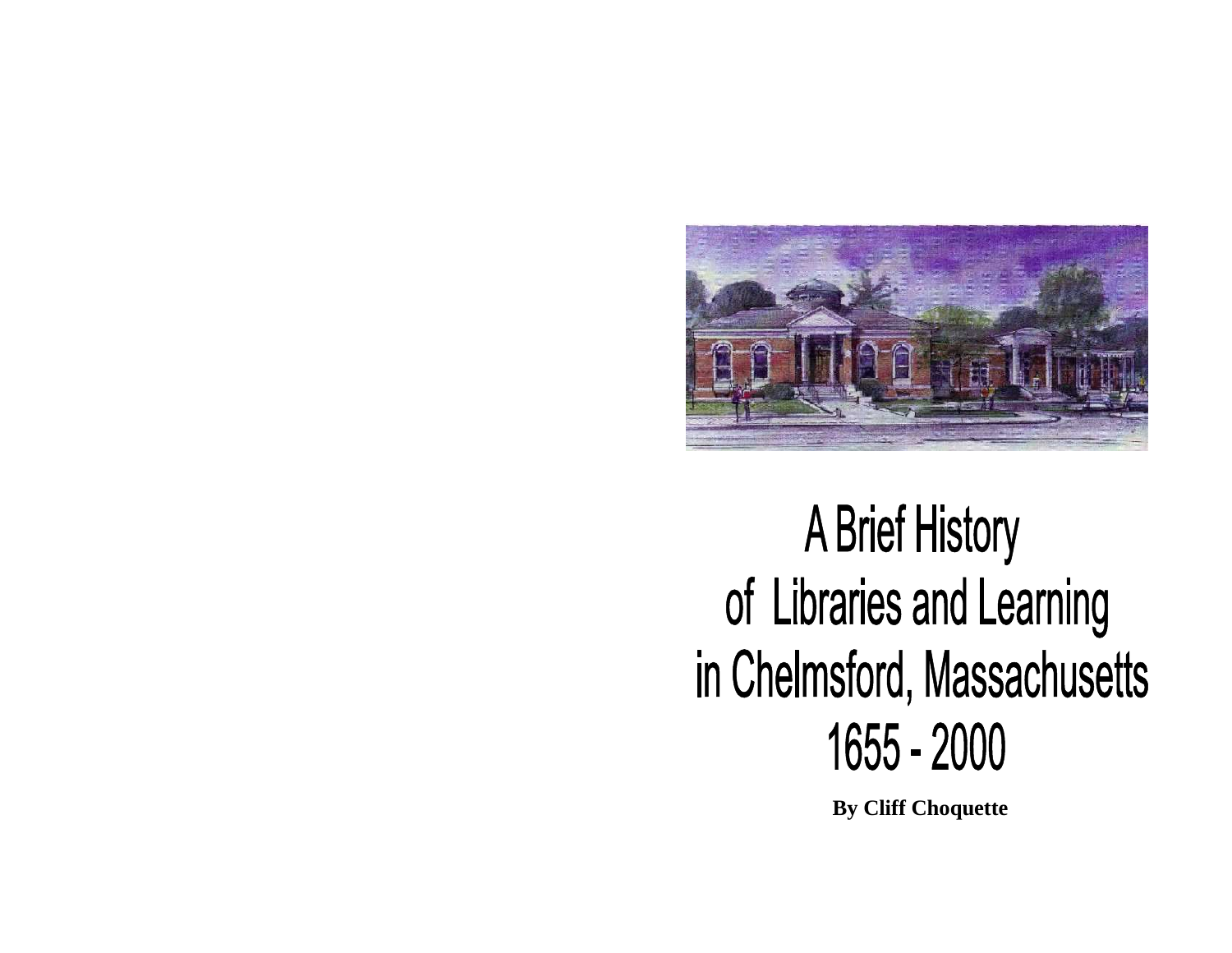

# **A Brief History** of Libraries and Learning in Chelmsford, Massachusetts 1655 - 2000

**By Cliff Choquette**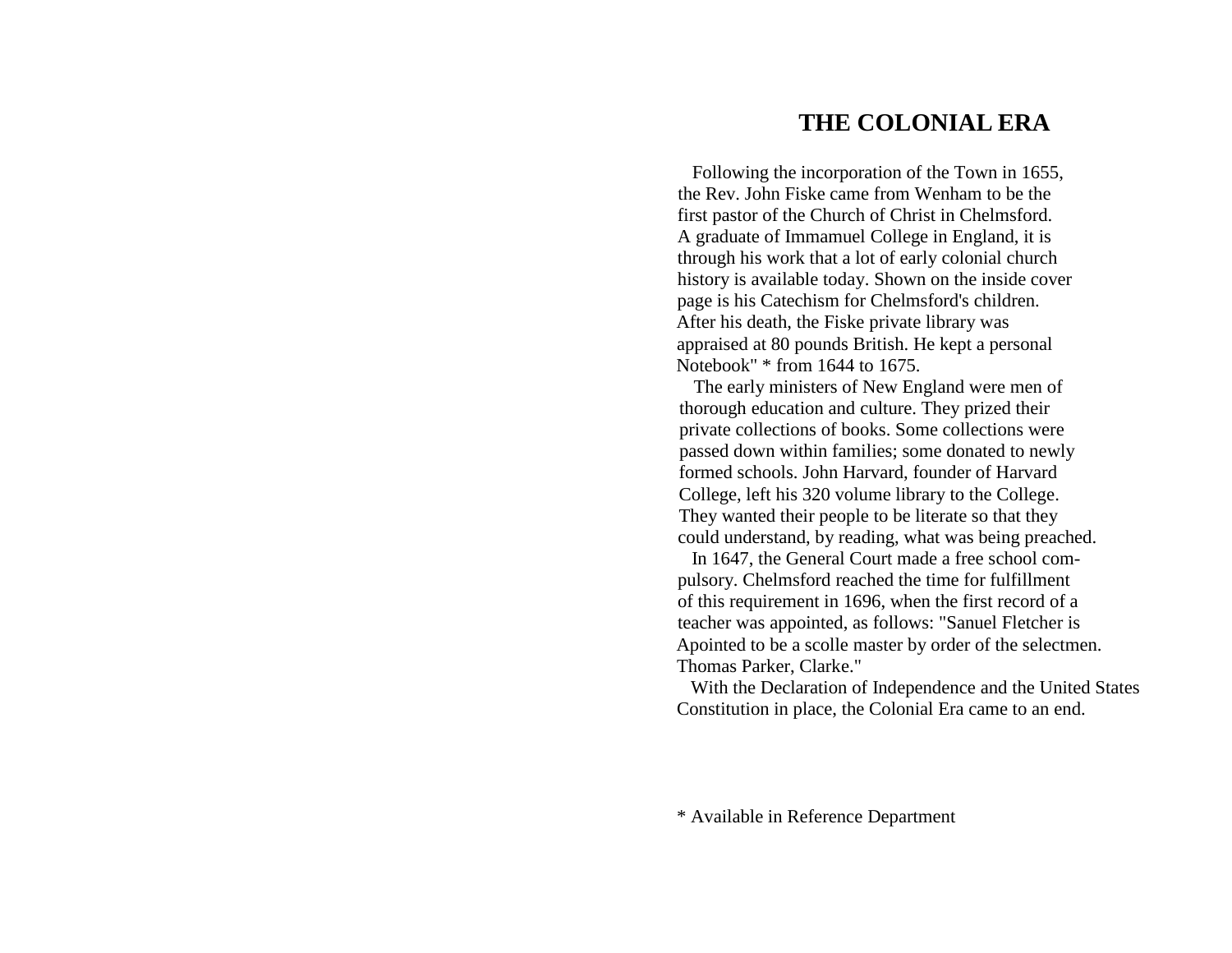# **THE COLONIAL ERA**

 Following the incorporation of the Town in 1655,the Rev. John Fiske came from Wenham to be the first pastor of the Church of Christ in Chelmsford.A graduate of Immamuel College in England, it is through his work that a lot of early colonial church history is available today. Shown on the inside cover page is his Catechism for Chelmsford's children. After his death, the Fiske private library was appraised at 80 pounds British. He kept a personal Notebook" \* from 1644 to 1675.

 The early ministers of New England were men of thorough education and culture. They prized their private collections of books. Some collections were passed down within families; some donated to newly formed schools. John Harvard, founder of Harvard College, left his 320 volume library to the College. They wanted their people to be literate so that they could understand, by reading, what was being preached.

 In 1647, the General Court made a free school compulsory. Chelmsford reached the time for fulfillment of this requirement in 1696, when the first record of a teacher was appointed, as follows: "Sanuel Fletcher is Apointed to be a scolle master by order of the selectmen. Thomas Parker, Clarke."

 With the Declaration of Independence and the United States Constitution in place, the Colonial Era came to an end.

\* Available in Reference Department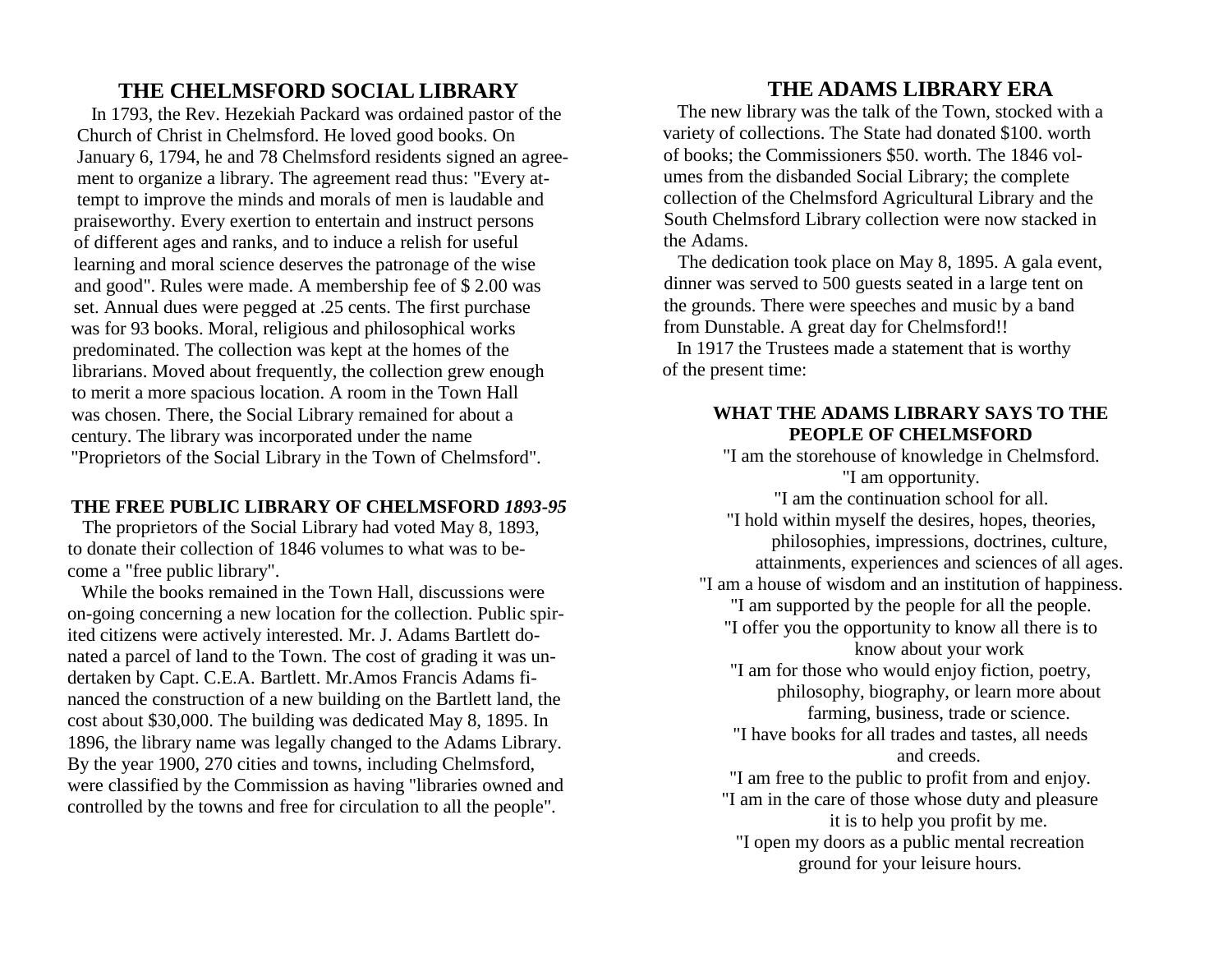# **THE CHELMSFORD SOCIAL LIBRARY**

 In 1793, the Rev. Hezekiah Packard was ordained pastor of the Church of Christ in Chelmsford. He loved good books. On January 6, 1794, he and 78 Chelmsford residents signed an agreement to organize a library. The agreement read thus: "Every attempt to improve the minds and morals of men is laudable and praiseworthy. Every exertion to entertain and instruct persons of different ages and ranks, and to induce a relish for useful learning and moral science deserves the patronage of the wise and good". Rules were made. A membership fee of \$ 2.00 was set. Annual dues were pegged at .25 cents. The first purchase was for 93 books. Moral, religious and philosophical works predominated. The collection was kept at the homes of the librarians. Moved about frequently, the collection grew enough to merit a more spacious location. A room in the Town Hall was chosen. There, the Social Library remained for about a century. The library was incorporated under the name "Proprietors of the Social Library in the Town of Chelmsford".

#### **THE FREE PUBLIC LIBRARY OF CHELMSFORD** *1893-95*

 The proprietors of the Social Library had voted May 8, 1893, to donate their collection of 1846 volumes to what was to become a "free public library".

 While the books remained in the Town Hall, discussions were on-going concerning a new location for the collection. Public spirited citizens were actively interested. Mr. J. Adams Bartlett donated a parcel of land to the Town. The cost of grading it was undertaken by Capt. C.E.A. Bartlett. Mr.Amos Francis Adams financed the construction of a new building on the Bartlett land, the cost about \$30,000. The building was dedicated May 8, 1895. In 1896, the library name was legally changed to the Adams Library. By the year 1900, 270 cities and towns, including Chelmsford, were classified by the Commission as having "libraries owned and controlled by the towns and free for circulation to all the people".

# **THE ADAMS LIBRARY ERA**

 The new library was the talk of the Town, stocked with a variety of collections. The State had donated \$100. worth of books; the Commissioners \$50. worth. The 1846 volumes from the disbanded Social Library; the complete collection of the Chelmsford Agricultural Library and the South Chelmsford Library collection were now stacked in the Adams.

 The dedication took place on May 8, 1895. A gala event, dinner was served to 500 guests seated in a large tent on the grounds. There were speeches and music by a band from Dunstable. A great day for Chelmsford!!

 In 1917 the Trustees made a statement that is worthy of the present time:

#### **WHAT THE ADAMS LIBRARY SAYS TO THE PEOPLE OF CHELMSFORD**

"I am the storehouse of knowledge in Chelmsford. "I am opportunity. "I am the continuation school for all. "I hold within myself the desires, hopes, theories, philosophies, impressions, doctrines, culture, attainments, experiences and sciences of all ages. "I am a house of wisdom and an institution of happiness. "I am supported by the people for all the people. "I offer you the opportunity to know all there is to know about your work "I am for those who would enjoy fiction, poetry, philosophy, biography, or learn more about farming, business, trade or science. "I have books for all trades and tastes, all needs and creeds. "I am free to the public to profit from and enjoy. "I am in the care of those whose duty and pleasure it is to help you profit by me. "I open my doors as a public mental recreation ground for your leisure hours.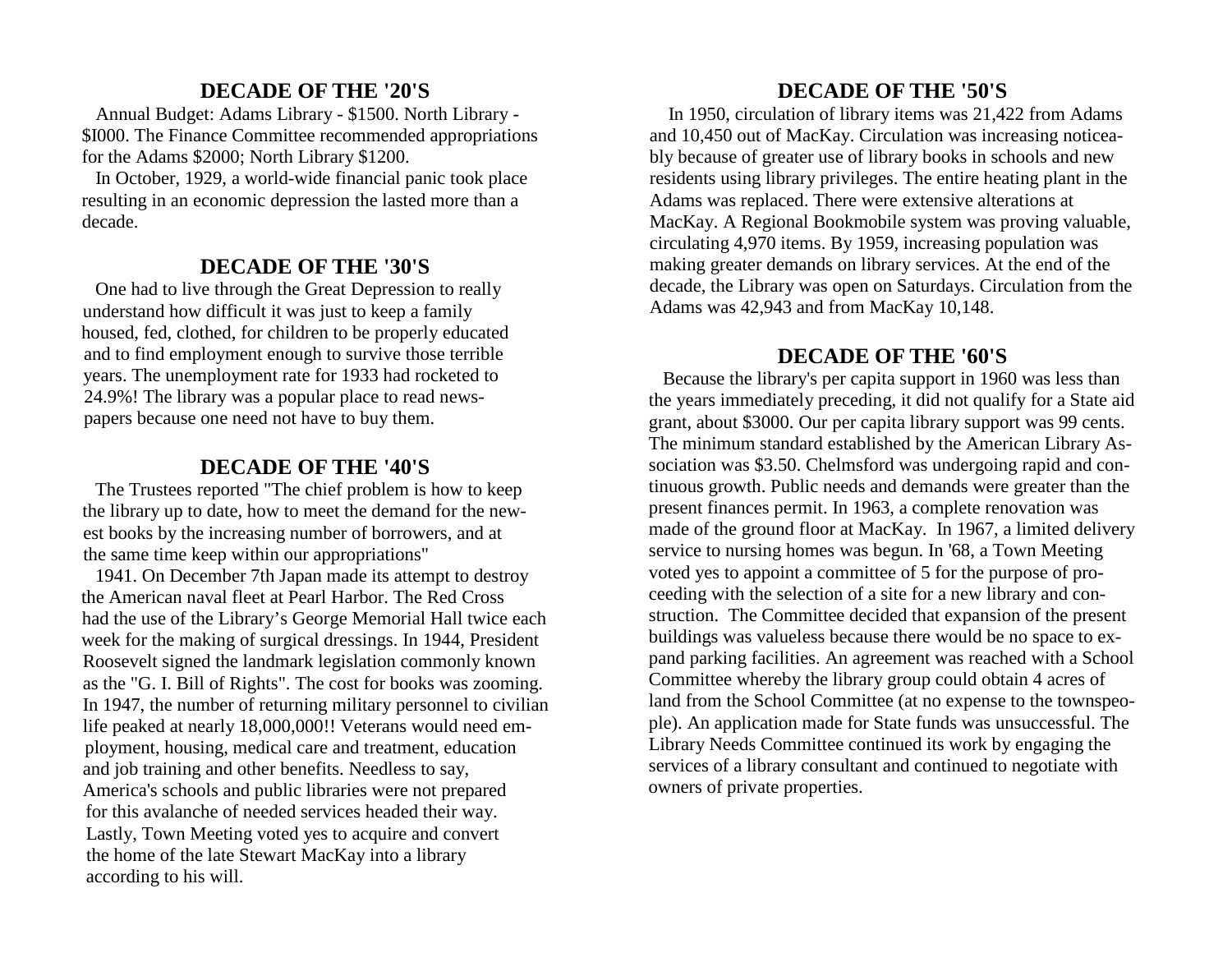# **DECADE OF THE '20'S**

 Annual Budget: Adams Library - \$1500. North Library - \$I000. The Finance Committee recommended appropriations for the Adams \$2000; North Library \$1200.

 In October, 1929, a world-wide financial panic took place resulting in an economic depression the lasted more than a decade.

#### **DECADE OF THE '30'S**

 One had to live through the Great Depression to really understand how difficult it was just to keep a family housed, fed, clothed, for children to be properly educated and to find employment enough to survive those terrible years. The unemployment rate for 1933 had rocketed to 24.9%! The library was a popular place to read newspapers because one need not have to buy them.

#### **DECADE OF THE '40'S**

 The Trustees reported "The chief problem is how to keep the library up to date, how to meet the demand for the newest books by the increasing number of borrowers, and at the same time keep within our appropriations"

 1941. On December 7th Japan made its attempt to destroy the American naval fleet at Pearl Harbor. The Red Cross had the use of the Library's George Memorial Hall twice each week for the making of surgical dressings. In 1944, President Roosevelt signed the landmark legislation commonly known as the "G. I. Bill of Rights". The cost for books was zooming. In 1947, the number of returning military personnel to civilian life peaked at nearly 18,000,000!! Veterans would need employment, housing, medical care and treatment, education and job training and other benefits. Needless to say, America's schools and public libraries were not prepared for this avalanche of needed services headed their way. Lastly, Town Meeting voted yes to acquire and convert the home of the late Stewart MacKay into a library according to his will.

## **DECADE OF THE '50'S**

 In 1950, circulation of library items was 21,422 from Adams and 10,450 out of MacKay. Circulation was increasing noticeably because of greater use of library books in schools and new residents using library privileges. The entire heating plant in the Adams was replaced. There were extensive alterations at MacKay. A Regional Bookmobile system was proving valuable, circulating 4,970 items. By 1959, increasing population was making greater demands on library services. At the end of the decade, the Library was open on Saturdays. Circulation from the Adams was 42,943 and from MacKay 10,148.

#### **DECADE OF THE '60'S**

 Because the library's per capita support in 1960 was less than the years immediately preceding, it did not qualify for a State aid grant, about \$3000. Our per capita library support was 99 cents. The minimum standard established by the American Library Association was \$3.50. Chelmsford was undergoing rapid and continuous growth. Public needs and demands were greater than the present finances permit. In 1963, a complete renovation was made of the ground floor at MacKay. In 1967, a limited delivery service to nursing homes was begun. In '68, a Town Meeting voted yes to appoint a committee of 5 for the purpose of proceeding with the selection of a site for a new library and construction. The Committee decided that expansion of the present buildings was valueless because there would be no space to expand parking facilities. An agreement was reached with a School Committee whereby the library group could obtain 4 acres of land from the School Committee (at no expense to the townspeople). An application made for State funds was unsuccessful. The Library Needs Committee continued its work by engaging the services of a library consultant and continued to negotiate with owners of private properties.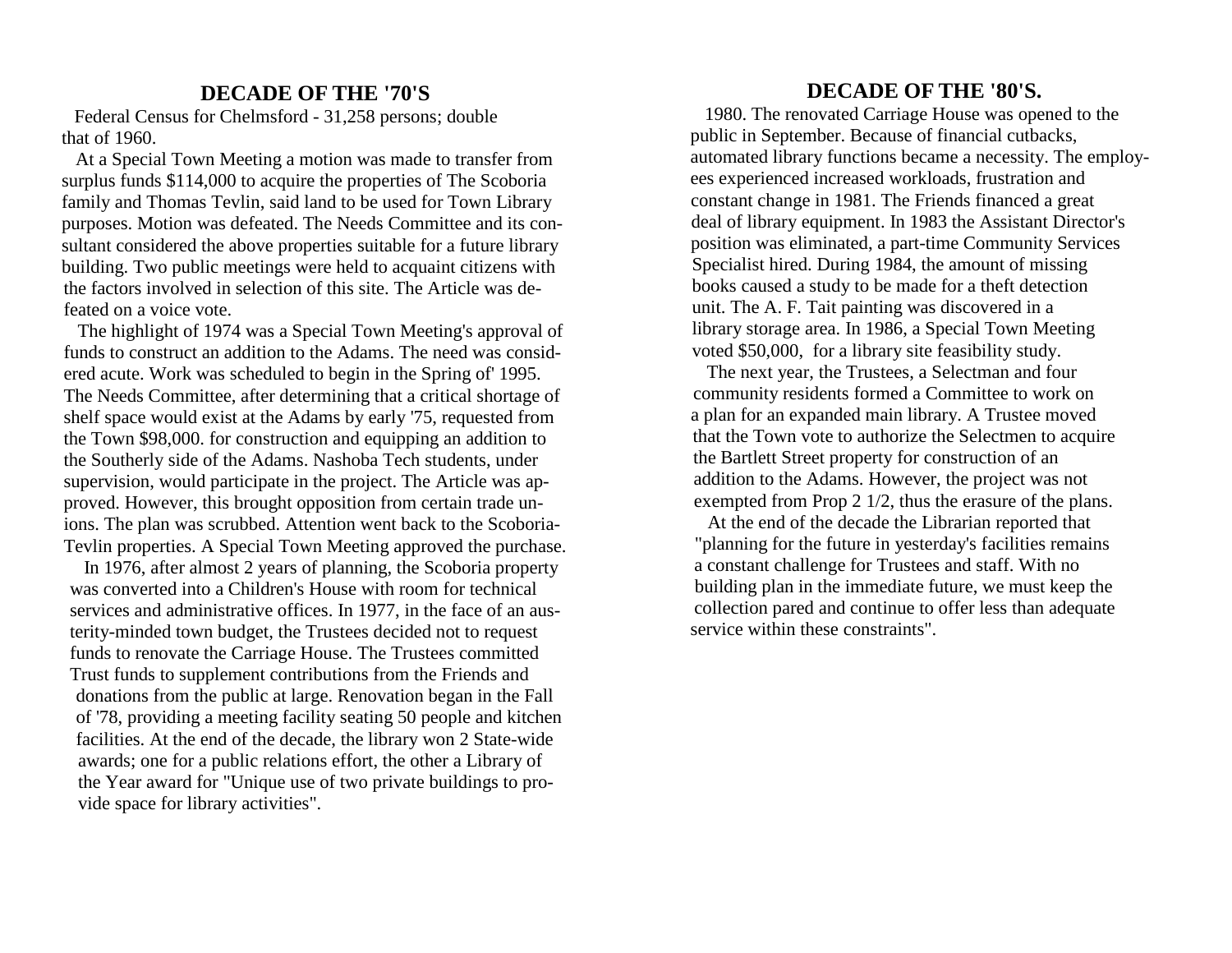## **DECADE OF THE '70'S**

 Federal Census for Chelmsford - 31,258 persons; double that of 1960.

 At a Special Town Meeting a motion was made to transfer from surplus funds \$114,000 to acquire the properties of The Scoboria family and Thomas Tevlin, said land to be used for Town Library purposes. Motion was defeated. The Needs Committee and its consultant considered the above properties suitable for a future library building. Two public meetings were held to acquaint citizens with the factors involved in selection of this site. The Article was defeated on a voice vote.

 The highlight of 1974 was a Special Town Meeting's approval of funds to construct an addition to the Adams. The need was considered acute. Work was scheduled to begin in the Spring of' 1995. The Needs Committee, after determining that a critical shortage of shelf space would exist at the Adams by early '75, requested from the Town \$98,000. for construction and equipping an addition to the Southerly side of the Adams. Nashoba Tech students, under supervision, would participate in the project. The Article was approved. However, this brought opposition from certain trade unions. The plan was scrubbed. Attention went back to the Scoboria-Tevlin properties. A Special Town Meeting approved the purchase.

 In 1976, after almost 2 years of planning, the Scoboria property was converted into a Children's House with room for technical services and administrative offices. In 1977, in the face of an austerity-minded town budget, the Trustees decided not to request funds to renovate the Carriage House. The Trustees committed Trust funds to supplement contributions from the Friends and donations from the public at large. Renovation began in the Fall of '78, providing a meeting facility seating 50 people and kitchen facilities. At the end of the decade, the library won 2 State-wide awards; one for a public relations effort, the other a Library of the Year award for "Unique use of two private buildings to provide space for library activities".

# **DECADE OF THE '80'S.**

 1980. The renovated Carriage House was opened to the public in September. Because of financial cutbacks,automated library functions became a necessity. The employees experienced increased workloads, frustration and constant change in 1981. The Friends financed a great deal of library equipment. In 1983 the Assistant Director's position was eliminated, a part-time Community Services Specialist hired. During 1984, the amount of missing books caused a study to be made for a theft detection unit. The A. F. Tait painting was discovered in a library storage area. In 1986, a Special Town Meeting voted \$50,000, for a library site feasibility study.

 The next year, the Trustees, a Selectman and four community residents formed a Committee to work on a plan for an expanded main library. A Trustee moved that the Town vote to authorize the Selectmen to acquire the Bartlett Street property for construction of an addition to the Adams. However, the project was notexempted from Prop 2 1/2, thus the erasure of the plans.

 At the end of the decade the Librarian reported that "planning for the future in yesterday's facilities remains a constant challenge for Trustees and staff. With no building plan in the immediate future, we must keep the collection pared and continue to offer less than adequate service within these constraints".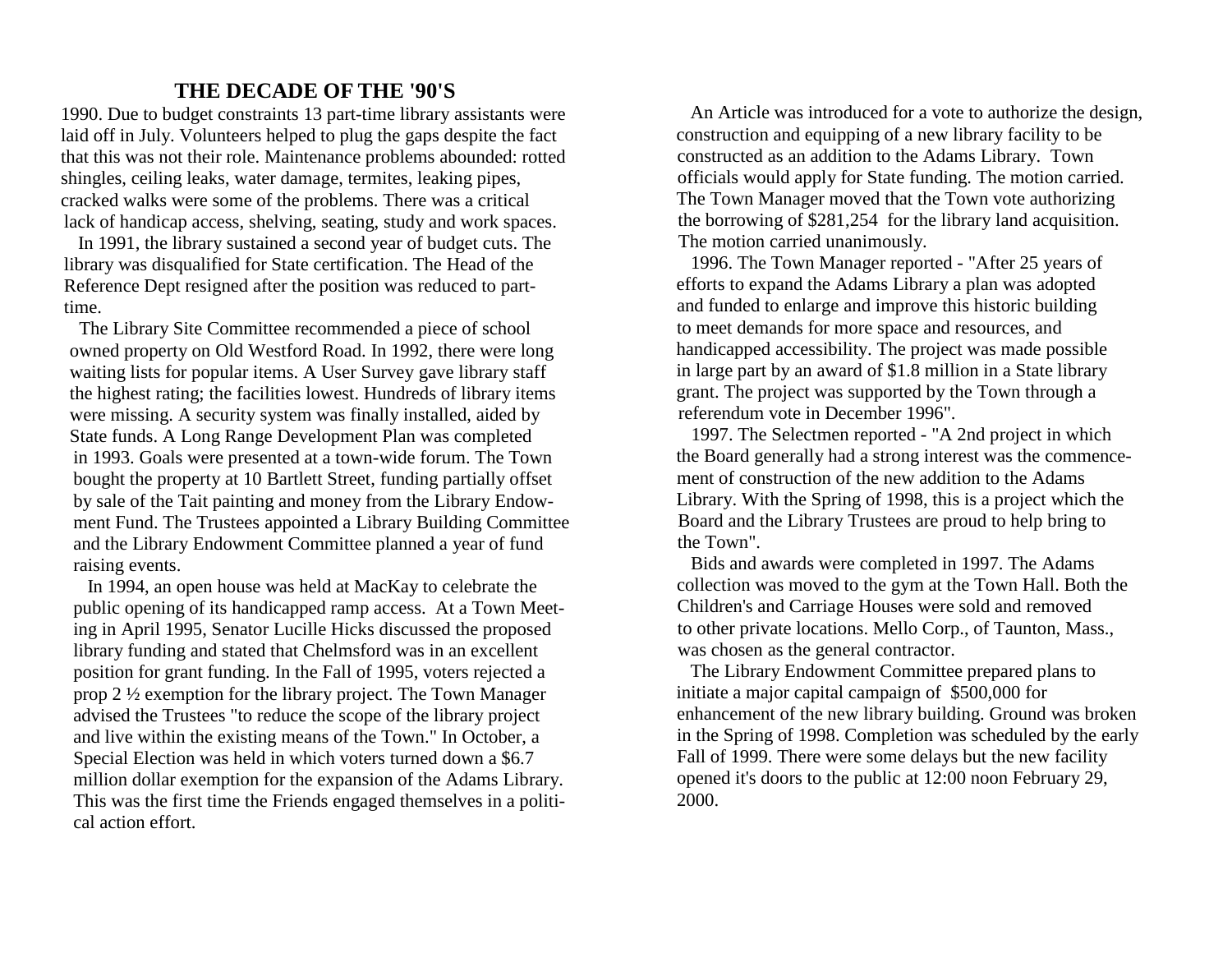# **THE DECADE OF THE '90'S**

 1990. Due to budget constraints 13 part-time library assistants were laid off in July. Volunteers helped to plug the gaps despite the fact that this was not their role. Maintenance problems abounded: rotted shingles, ceiling leaks, water damage, termites, leaking pipes, cracked walks were some of the problems. There was a critical lack of handicap access, shelving, seating, study and work spaces.

 In 1991, the library sustained a second year of budget cuts. The library was disqualified for State certification. The Head of the Reference Dept resigned after the position was reduced to parttime.

 The Library Site Committee recommended a piece of school owned property on Old Westford Road. In 1992, there were long waiting lists for popular items. A User Survey gave library staff the highest rating; the facilities lowest. Hundreds of library items were missing. A security system was finally installed, aided by State funds. A Long Range Development Plan was completed in 1993. Goals were presented at a town-wide forum. The Town bought the property at 10 Bartlett Street, funding partially offset by sale of the Tait painting and money from the Library Endowment Fund. The Trustees appointed a Library Building Committee and the Library Endowment Committee planned a year of fund raising events.

 In 1994, an open house was held at MacKay to celebrate the public opening of its handicapped ramp access. At a Town Meeting in April 1995, Senator Lucille Hicks discussed the proposed library funding and stated that Chelmsford was in an excellent position for grant funding. In the Fall of 1995, voters rejected a prop 2 ½ exemption for the library project. The Town Manager advised the Trustees "to reduce the scope of the library project and live within the existing means of the Town." In October, a Special Election was held in which voters turned down a \$6.7 million dollar exemption for the expansion of the Adams Library. This was the first time the Friends engaged themselves in a political action effort.

 An Article was introduced for a vote to authorize the design, construction and equipping of a new library facility to be constructed as an addition to the Adams Library. Town officials would apply for State funding. The motion carried. The Town Manager moved that the Town vote authorizing the borrowing of \$281,254 for the library land acquisition. The motion carried unanimously.

 1996. The Town Manager reported - "After 25 years of efforts to expand the Adams Library a plan was adopted and funded to enlarge and improve this historic building to meet demands for more space and resources, and handicapped accessibility. The project was made possible in large part by an award of \$1.8 million in a State library grant. The project was supported by the Town through a referendum vote in December 1996".

 1997. The Selectmen reported - "A 2nd project in which the Board generally had a strong interest was the commencement of construction of the new addition to the Adams Library. With the Spring of 1998, this is a project which the Board and the Library Trustees are proud to help bring to the Town".

 Bids and awards were completed in 1997. The Adams collection was moved to the gym at the Town Hall. Both the Children's and Carriage Houses were sold and removed to other private locations. Mello Corp., of Taunton, Mass., was chosen as the general contractor.

 The Library Endowment Committee prepared plans to initiate a major capital campaign of \$500,000 for enhancement of the new library building. Ground was broken in the Spring of 1998. Completion was scheduled by the early Fall of 1999. There were some delays but the new facility opened it's doors to the public at 12:00 noon February 29, 2000.